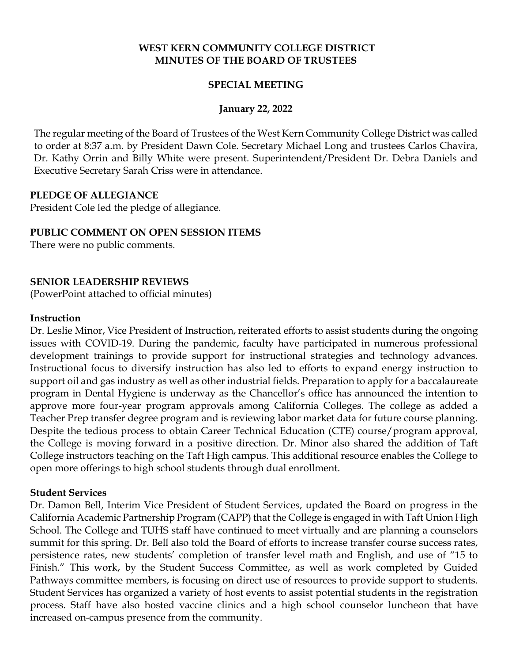### **WEST KERN COMMUNITY COLLEGE DISTRICT MINUTES OF THE BOARD OF TRUSTEES**

### **SPECIAL MEETING**

### **January 22, 2022**

The regular meeting of the Board of Trustees of the West Kern Community College District was called to order at 8:37 a.m. by President Dawn Cole. Secretary Michael Long and trustees Carlos Chavira, Dr. Kathy Orrin and Billy White were present. Superintendent/President Dr. Debra Daniels and Executive Secretary Sarah Criss were in attendance.

#### **PLEDGE OF ALLEGIANCE**

President Cole led the pledge of allegiance.

# **PUBLIC COMMENT ON OPEN SESSION ITEMS**

There were no public comments.

### **SENIOR LEADERSHIP REVIEWS**

(PowerPoint attached to official minutes)

#### **Instruction**

Dr. Leslie Minor, Vice President of Instruction, reiterated efforts to assist students during the ongoing issues with COVID-19. During the pandemic, faculty have participated in numerous professional development trainings to provide support for instructional strategies and technology advances. Instructional focus to diversify instruction has also led to efforts to expand energy instruction to support oil and gas industry as well as other industrial fields. Preparation to apply for a baccalaureate program in Dental Hygiene is underway as the Chancellor's office has announced the intention to approve more four-year program approvals among California Colleges. The college as added a Teacher Prep transfer degree program and is reviewing labor market data for future course planning. Despite the tedious process to obtain Career Technical Education (CTE) course/program approval, the College is moving forward in a positive direction. Dr. Minor also shared the addition of Taft College instructors teaching on the Taft High campus. This additional resource enables the College to open more offerings to high school students through dual enrollment.

#### **Student Services**

Dr. Damon Bell, Interim Vice President of Student Services, updated the Board on progress in the California Academic Partnership Program (CAPP) that the College is engaged in with Taft Union High School. The College and TUHS staff have continued to meet virtually and are planning a counselors summit for this spring. Dr. Bell also told the Board of efforts to increase transfer course success rates, persistence rates, new students' completion of transfer level math and English, and use of "15 to Finish." This work, by the Student Success Committee, as well as work completed by Guided Pathways committee members, is focusing on direct use of resources to provide support to students. Student Services has organized a variety of host events to assist potential students in the registration process. Staff have also hosted vaccine clinics and a high school counselor luncheon that have increased on-campus presence from the community.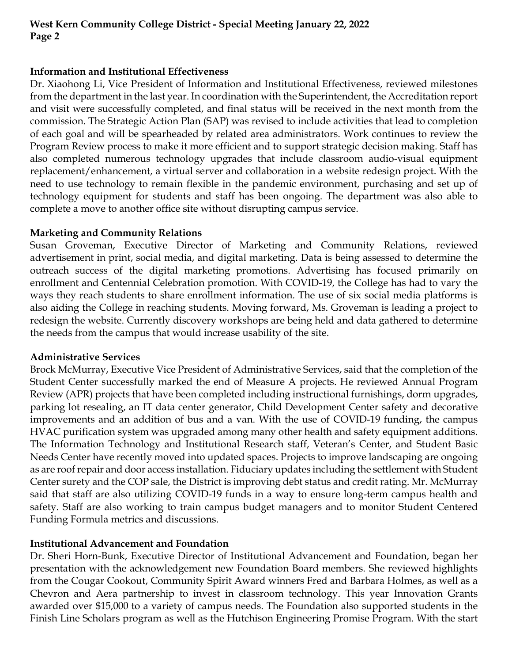# **West Kern Community College District - Special Meeting January 22, 2022 Page 2**

### **Information and Institutional Effectiveness**

Dr. Xiaohong Li, Vice President of Information and Institutional Effectiveness, reviewed milestones from the department in the last year. In coordination with the Superintendent, the Accreditation report and visit were successfully completed, and final status will be received in the next month from the commission. The Strategic Action Plan (SAP) was revised to include activities that lead to completion of each goal and will be spearheaded by related area administrators. Work continues to review the Program Review process to make it more efficient and to support strategic decision making. Staff has also completed numerous technology upgrades that include classroom audio-visual equipment replacement/enhancement, a virtual server and collaboration in a website redesign project. With the need to use technology to remain flexible in the pandemic environment, purchasing and set up of technology equipment for students and staff has been ongoing. The department was also able to complete a move to another office site without disrupting campus service.

### **Marketing and Community Relations**

Susan Groveman, Executive Director of Marketing and Community Relations, reviewed advertisement in print, social media, and digital marketing. Data is being assessed to determine the outreach success of the digital marketing promotions. Advertising has focused primarily on enrollment and Centennial Celebration promotion. With COVID-19, the College has had to vary the ways they reach students to share enrollment information. The use of six social media platforms is also aiding the College in reaching students. Moving forward, Ms. Groveman is leading a project to redesign the website. Currently discovery workshops are being held and data gathered to determine the needs from the campus that would increase usability of the site.

#### **Administrative Services**

Brock McMurray, Executive Vice President of Administrative Services, said that the completion of the Student Center successfully marked the end of Measure A projects. He reviewed Annual Program Review (APR) projects that have been completed including instructional furnishings, dorm upgrades, parking lot resealing, an IT data center generator, Child Development Center safety and decorative improvements and an addition of bus and a van. With the use of COVID-19 funding, the campus HVAC purification system was upgraded among many other health and safety equipment additions. The Information Technology and Institutional Research staff, Veteran's Center, and Student Basic Needs Center have recently moved into updated spaces. Projects to improve landscaping are ongoing as are roof repair and door access installation. Fiduciary updates including the settlement with Student Center surety and the COP sale, the District is improving debt status and credit rating. Mr. McMurray said that staff are also utilizing COVID-19 funds in a way to ensure long-term campus health and safety. Staff are also working to train campus budget managers and to monitor Student Centered Funding Formula metrics and discussions.

# **Institutional Advancement and Foundation**

Dr. Sheri Horn-Bunk, Executive Director of Institutional Advancement and Foundation, began her presentation with the acknowledgement new Foundation Board members. She reviewed highlights from the Cougar Cookout, Community Spirit Award winners Fred and Barbara Holmes, as well as a Chevron and Aera partnership to invest in classroom technology. This year Innovation Grants awarded over \$15,000 to a variety of campus needs. The Foundation also supported students in the Finish Line Scholars program as well as the Hutchison Engineering Promise Program. With the start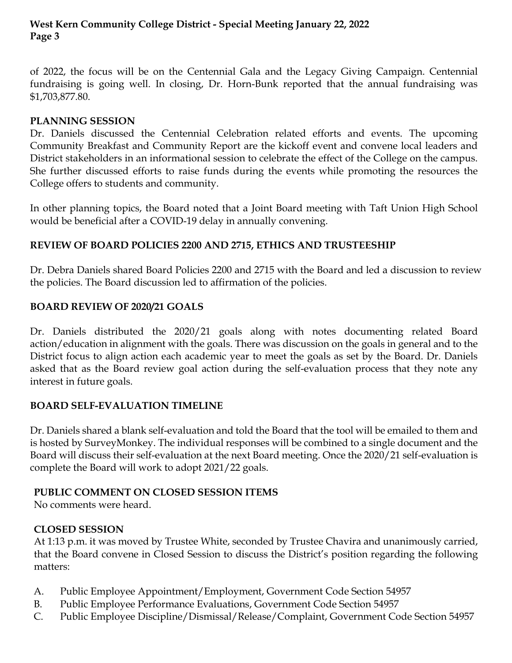# **West Kern Community College District - Special Meeting January 22, 2022 Page 3**

of 2022, the focus will be on the Centennial Gala and the Legacy Giving Campaign. Centennial fundraising is going well. In closing, Dr. Horn-Bunk reported that the annual fundraising was \$1,703,877.80.

## **PLANNING SESSION**

Dr. Daniels discussed the Centennial Celebration related efforts and events. The upcoming Community Breakfast and Community Report are the kickoff event and convene local leaders and District stakeholders in an informational session to celebrate the effect of the College on the campus. She further discussed efforts to raise funds during the events while promoting the resources the College offers to students and community.

In other planning topics, the Board noted that a Joint Board meeting with Taft Union High School would be beneficial after a COVID-19 delay in annually convening.

# **REVIEW OF BOARD POLICIES 2200 AND 2715, ETHICS AND TRUSTEESHIP**

Dr. Debra Daniels shared Board Policies 2200 and 2715 with the Board and led a discussion to review the policies. The Board discussion led to affirmation of the policies.

### **BOARD REVIEW OF 2020/21 GOALS**

Dr. Daniels distributed the 2020/21 goals along with notes documenting related Board action/education in alignment with the goals. There was discussion on the goals in general and to the District focus to align action each academic year to meet the goals as set by the Board. Dr. Daniels asked that as the Board review goal action during the self-evaluation process that they note any interest in future goals.

#### **BOARD SELF-EVALUATION TIMELINE**

Dr. Daniels shared a blank self-evaluation and told the Board that the tool will be emailed to them and is hosted by SurveyMonkey. The individual responses will be combined to a single document and the Board will discuss their self-evaluation at the next Board meeting. Once the 2020/21 self-evaluation is complete the Board will work to adopt 2021/22 goals.

#### **PUBLIC COMMENT ON CLOSED SESSION ITEMS**

No comments were heard.

# **CLOSED SESSION**

At 1:13 p.m. it was moved by Trustee White, seconded by Trustee Chavira and unanimously carried, that the Board convene in Closed Session to discuss the District's position regarding the following matters:

- A. Public Employee Appointment/Employment, Government Code Section 54957
- B. Public Employee Performance Evaluations, Government Code Section 54957
- C. Public Employee Discipline/Dismissal/Release/Complaint, Government Code Section 54957